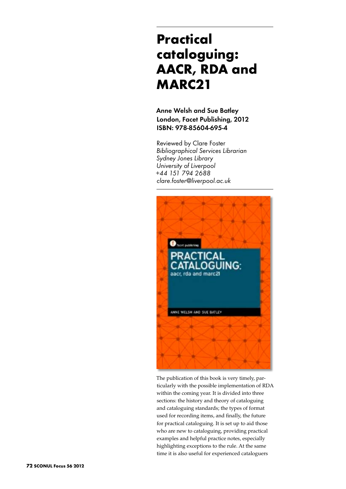## **Practical cataloguing: AACR, RDA and MARC21**

Anne Welsh and Sue Batley London, Facet Publishing, 2012 ISBN: 978-85604-695-4

Reviewed by Clare Foster *Bibliographical Services Librarian Sydney Jones Library University of Liverpool +44 151 794 2688 clare.foster@liverpool.ac.uk*



The publication of this book is very timely, particularly with the possible implementation of RDA within the coming year. It is divided into three sections: the history and theory of cataloguing and cataloguing standards; the types of format used for recording items, and finally, the future for practical cataloguing. It is set up to aid those who are new to cataloguing, providing practical examples and helpful practice notes, especially highlighting exceptions to the rule. At the same time it is also useful for experienced cataloguers